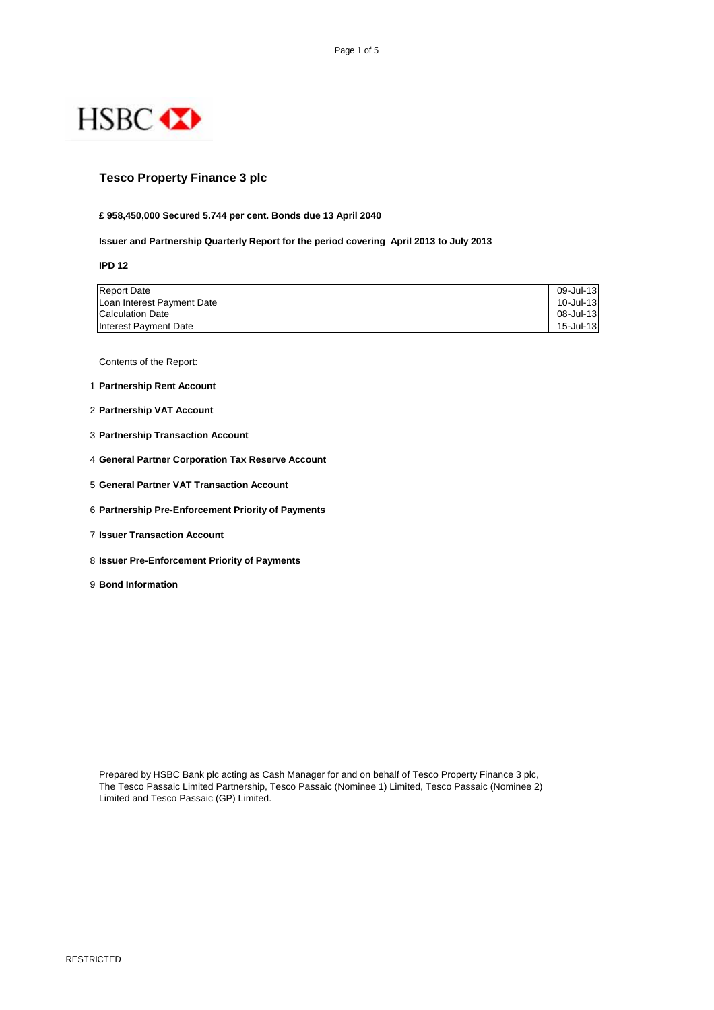

## **Tesco Property Finance 3 plc**

#### **£ 958,450,000 Secured 5.744 per cent. Bonds due 13 April 2040**

## **Issuer and Partnership Quarterly Report for the period covering April 2013 to July 2013**

**IPD 12**

| <b>Report Date</b>         | 09-Jul-13 |
|----------------------------|-----------|
| Loan Interest Payment Date | 10-Jul-13 |
| <b>Calculation Date</b>    | 08-Jul-13 |
| Interest Payment Date      | 15-Jul-13 |

Contents of the Report:

- 1 **Partnership Rent Account**
- 2 **Partnership VAT Account**
- 3 **Partnership Transaction Account**
- 4 **General Partner Corporation Tax Reserve Account**
- 5 **General Partner VAT Transaction Account**
- 6 **Partnership Pre-Enforcement Priority of Payments**
- 7 **Issuer Transaction Account**
- 8 **Issuer Pre-Enforcement Priority of Payments**
- 9 **Bond Information**

Prepared by HSBC Bank plc acting as Cash Manager for and on behalf of Tesco Property Finance 3 plc, The Tesco Passaic Limited Partnership, Tesco Passaic (Nominee 1) Limited, Tesco Passaic (Nominee 2) Limited and Tesco Passaic (GP) Limited.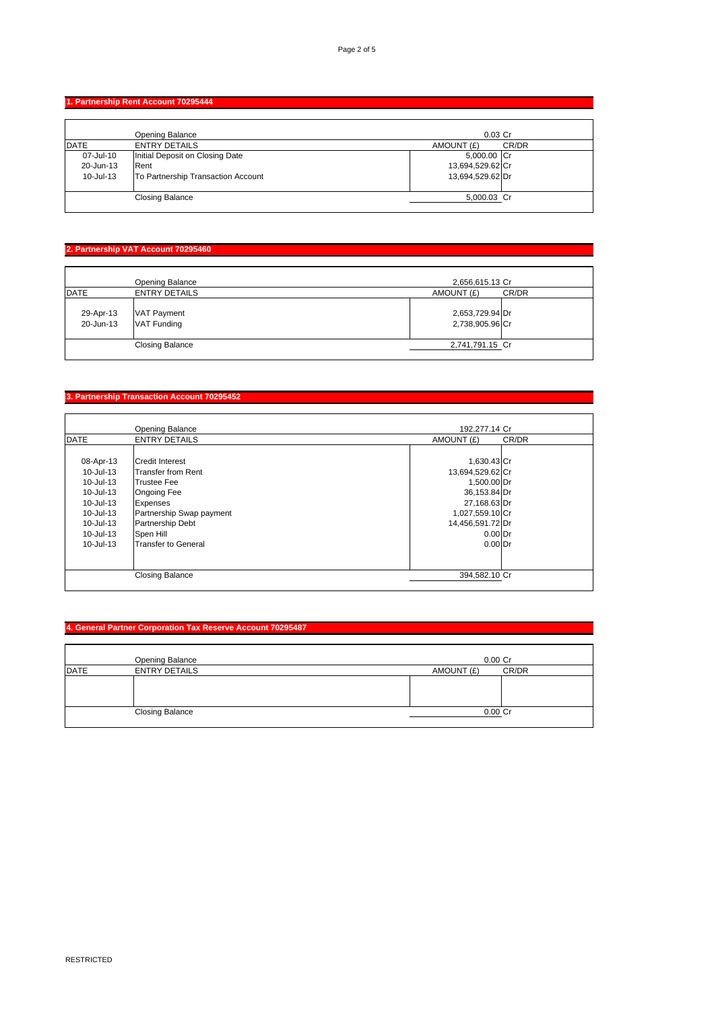## **1. Partnership Rent Account 70295444**

|             | <b>Opening Balance</b>             | $0.03$ Cr        |       |
|-------------|------------------------------------|------------------|-------|
| <b>DATE</b> | <b>ENTRY DETAILS</b>               | AMOUNT (£)       | CR/DR |
| 07-Jul-10   | Initial Deposit on Closing Date    | 5,000.00 Cr      |       |
| 20-Jun-13   | Rent                               | 13,694,529.62 Cr |       |
| 10-Jul-13   | To Partnership Transaction Account | 13,694,529.62 Dr |       |
|             |                                    |                  |       |
|             | <b>Closing Balance</b>             | 5,000.03 Cr      |       |
|             |                                    |                  |       |

# **2. Partnership VAT Account 70295460**

|                        | Opening Balance                   | 2,656,615.13 Cr                    |
|------------------------|-----------------------------------|------------------------------------|
| <b>DATE</b>            | <b>ENTRY DETAILS</b>              | AMOUNT (£)<br>CR/DR                |
| 29-Apr-13<br>20-Jun-13 | VAT Payment<br><b>VAT Funding</b> | 2,653,729.94 Dr<br>2,738,905.96 Cr |
|                        | <b>Closing Balance</b>            | 2,741,791.15 Cr                    |

# **3. Partnership Transaction Account 70295452**

|             | <b>Opening Balance</b>   | 192,277.14 Cr    |       |
|-------------|--------------------------|------------------|-------|
| <b>DATE</b> | <b>ENTRY DETAILS</b>     | AMOUNT (£)       | CR/DR |
|             |                          |                  |       |
| 08-Apr-13   | <b>Credit Interest</b>   | 1,630.43 Cr      |       |
| 10-Jul-13   | Transfer from Rent       | 13,694,529.62 Cr |       |
| 10-Jul-13   | <b>Trustee Fee</b>       | 1,500.00 Dr      |       |
| 10-Jul-13   | <b>Ongoing Fee</b>       | 36,153.84 Dr     |       |
| 10-Jul-13   | <b>Expenses</b>          | 27,168.63 Dr     |       |
| 10-Jul-13   | Partnership Swap payment | 1,027,559.10 Cr  |       |
| 10-Jul-13   | <b>Partnership Debt</b>  | 14,456,591.72 Dr |       |
| 10-Jul-13   | Spen Hill                | $0.00$ Dr        |       |
| 10-Jul-13   | Transfer to General      | $0.00$ Dr        |       |
|             |                          |                  |       |
|             |                          |                  |       |
|             | <b>Closing Balance</b>   | 394.582.10 Cr    |       |
|             |                          |                  |       |

## **4. General Partner Corporation Tax Reserve Account 70295487**

|             | <b>Opening Balance</b> | $0.00$ Cr           |  |
|-------------|------------------------|---------------------|--|
| <b>DATE</b> | <b>ENTRY DETAILS</b>   | CR/DR<br>AMOUNT (£) |  |
|             |                        |                     |  |
|             |                        |                     |  |
|             |                        |                     |  |
|             | <b>Closing Balance</b> | $0.00$ Cr           |  |
|             |                        |                     |  |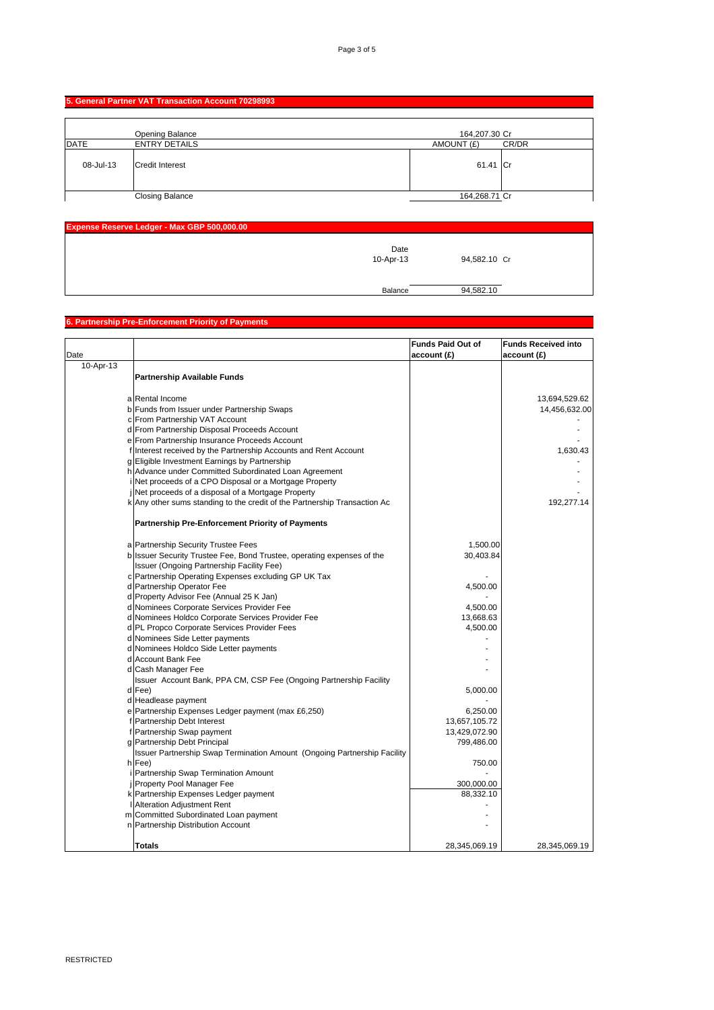# **5. General Partner VAT Transaction Account 70298993**

|             | Opening Balance        | 164,207.30 Cr       |  |
|-------------|------------------------|---------------------|--|
| <b>DATE</b> | <b>ENTRY DETAILS</b>   | CR/DR<br>AMOUNT (£) |  |
| 08-Jul-13   | <b>Credit Interest</b> | 61.41 Cr            |  |
|             | <b>Closing Balance</b> | 164,268.71 Cr       |  |

| Expense Reserve Ledger - Max GBP 500,000.00 |              |  |
|---------------------------------------------|--------------|--|
| Date<br>10-Apr-13                           | 94,582.10 Cr |  |
|                                             |              |  |
| Balance                                     | 94,582.10    |  |

#### **6. Partnership Pre-Enforcement Priority of Payments**

|           |                                                                           | <b>Funds Paid Out of</b> | <b>Funds Received into</b> |
|-----------|---------------------------------------------------------------------------|--------------------------|----------------------------|
| Date      |                                                                           |                          |                            |
|           |                                                                           | account (£)              | account (£)                |
| 10-Apr-13 |                                                                           |                          |                            |
|           | <b>Partnership Available Funds</b>                                        |                          |                            |
|           |                                                                           |                          |                            |
|           | a Rental Income                                                           |                          | 13,694,529.62              |
|           | b Funds from Issuer under Partnership Swaps                               |                          | 14,456,632.00              |
|           | c From Partnership VAT Account                                            |                          |                            |
|           | d From Partnership Disposal Proceeds Account                              |                          |                            |
|           | e From Partnership Insurance Proceeds Account                             |                          |                            |
|           | f Interest received by the Partnership Accounts and Rent Account          |                          | 1,630.43                   |
|           | g Eligible Investment Earnings by Partnership                             |                          |                            |
|           | h Advance under Committed Subordinated Loan Agreement                     |                          |                            |
|           | Net proceeds of a CPO Disposal or a Mortgage Property                     |                          |                            |
|           | Net proceeds of a disposal of a Mortgage Property                         |                          |                            |
|           | k Any other sums standing to the credit of the Partnership Transaction Ac |                          | 192,277.14                 |
|           |                                                                           |                          |                            |
|           | <b>Partnership Pre-Enforcement Priority of Payments</b>                   |                          |                            |
|           | a Partnership Security Trustee Fees                                       | 1,500.00                 |                            |
|           | b Issuer Security Trustee Fee, Bond Trustee, operating expenses of the    | 30,403.84                |                            |
|           | Issuer (Ongoing Partnership Facility Fee)                                 |                          |                            |
|           | c Partnership Operating Expenses excluding GP UK Tax                      |                          |                            |
|           | d Partnership Operator Fee                                                | 4,500.00                 |                            |
|           | d Property Advisor Fee (Annual 25 K Jan)                                  |                          |                            |
|           | d Nominees Corporate Services Provider Fee                                | 4,500.00                 |                            |
|           | d Nominees Holdco Corporate Services Provider Fee                         | 13,668.63                |                            |
|           | d PL Propco Corporate Services Provider Fees                              | 4,500.00                 |                            |
|           | d Nominees Side Letter payments                                           |                          |                            |
|           | d Nominees Holdco Side Letter payments                                    |                          |                            |
|           | d Account Bank Fee                                                        |                          |                            |
|           | d Cash Manager Fee                                                        |                          |                            |
|           | Issuer Account Bank, PPA CM, CSP Fee (Ongoing Partnership Facility        |                          |                            |
|           | d Fee)                                                                    | 5,000.00                 |                            |
|           | d Headlease payment                                                       |                          |                            |
|           | e Partnership Expenses Ledger payment (max £6,250)                        | 6,250.00                 |                            |
|           | f Partnership Debt Interest                                               | 13,657,105.72            |                            |
|           | f Partnership Swap payment                                                | 13,429,072.90            |                            |
|           | g Partnership Debt Principal                                              | 799,486.00               |                            |
|           | Issuer Partnership Swap Termination Amount (Ongoing Partnership Facility  |                          |                            |
|           | h Fee)                                                                    | 750.00                   |                            |
|           | Partnership Swap Termination Amount                                       |                          |                            |
|           | <b>Property Pool Manager Fee</b>                                          | 300,000.00               |                            |
|           | k Partnership Expenses Ledger payment                                     | 88,332.10                |                            |
|           | <b>Alteration Adjustment Rent</b>                                         |                          |                            |
|           | m Committed Subordinated Loan payment                                     |                          |                            |
|           | n Partnership Distribution Account                                        |                          |                            |
|           |                                                                           |                          |                            |
|           | <b>Totals</b>                                                             | 28,345,069.19            | 28,345,069.19              |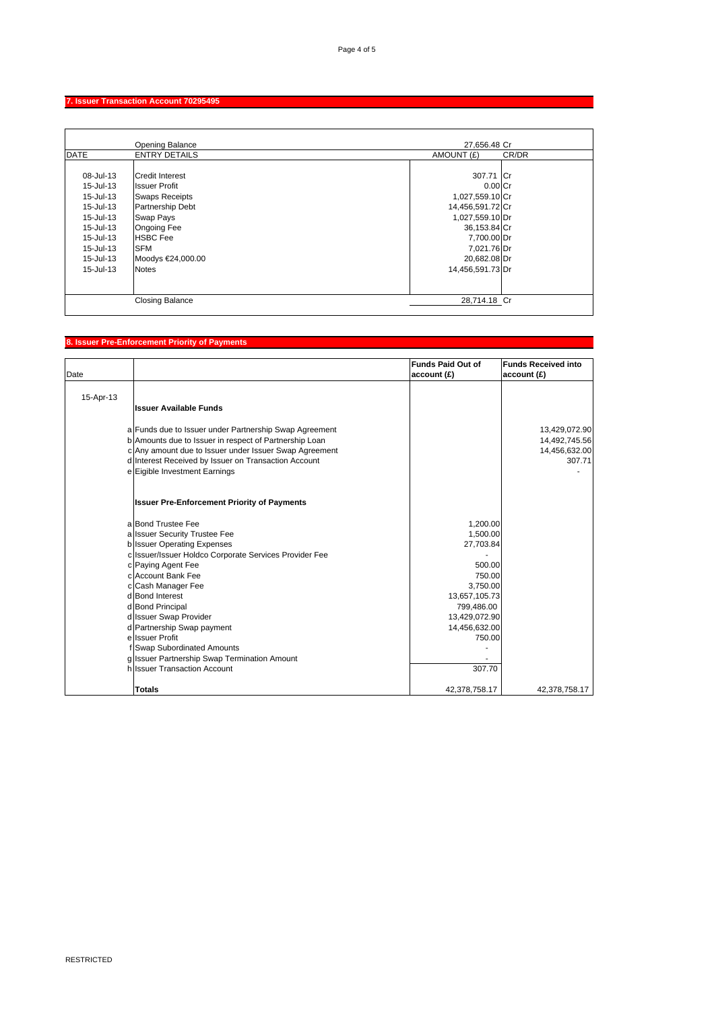# **7. Issuer Transaction Account 70295495**

|             | <b>Opening Balance</b>  | 27,656.48 Cr     |       |
|-------------|-------------------------|------------------|-------|
| <b>DATE</b> | <b>ENTRY DETAILS</b>    | AMOUNT (£)       | CR/DR |
|             |                         |                  |       |
| 08-Jul-13   | <b>Credit Interest</b>  | 307.71 Cr        |       |
| 15-Jul-13   | <b>Issuer Profit</b>    | $0.00$ Cr        |       |
| 15-Jul-13   | <b>Swaps Receipts</b>   | 1,027,559.10 Cr  |       |
| 15-Jul-13   | <b>Partnership Debt</b> | 14,456,591.72 Cr |       |
| 15-Jul-13   | Swap Pays               | 1,027,559.10 Dr  |       |
| 15-Jul-13   | <b>Ongoing Fee</b>      | 36,153.84 Cr     |       |
| 15-Jul-13   | <b>HSBC Fee</b>         | 7,700.00 Dr      |       |
| 15-Jul-13   | <b>SFM</b>              | 7,021.76 Dr      |       |
| 15-Jul-13   | Moodys €24,000.00       | 20,682.08 Dr     |       |
| 15-Jul-13   | <b>Notes</b>            | 14,456,591.73 Dr |       |
|             |                         |                  |       |
|             |                         |                  |       |
|             | <b>Closing Balance</b>  | 28,714.18 Cr     |       |

# **8. Issuer Pre-Enforcement Priority of Payments**

|           |                                                                                                                  | <b>Funds Paid Out of</b> | <b>Funds Received into</b>     |
|-----------|------------------------------------------------------------------------------------------------------------------|--------------------------|--------------------------------|
| Date      |                                                                                                                  | account (£)              | account (£)                    |
|           |                                                                                                                  |                          |                                |
| 15-Apr-13 |                                                                                                                  |                          |                                |
|           | <b>Issuer Available Funds</b>                                                                                    |                          |                                |
|           |                                                                                                                  |                          |                                |
|           | a Funds due to Issuer under Partnership Swap Agreement<br>b Amounts due to Issuer in respect of Partnership Loan |                          | 13,429,072.90<br>14,492,745.56 |
|           | c Any amount due to Issuer under Issuer Swap Agreement                                                           |                          | 14,456,632.00                  |
|           | d Interest Received by Issuer on Transaction Account                                                             |                          | 307.71                         |
|           | e Eigible Investment Earnings                                                                                    |                          |                                |
|           |                                                                                                                  |                          |                                |
|           | <b>Issuer Pre-Enforcement Priority of Payments</b>                                                               |                          |                                |
|           | a Bond Trustee Fee                                                                                               | 1,200.00                 |                                |
|           | a Issuer Security Trustee Fee                                                                                    | 1,500.00                 |                                |
|           | <b>b</b> Issuer Operating Expenses                                                                               | 27,703.84                |                                |
|           | c Issuer/Issuer Holdco Corporate Services Provider Fee                                                           |                          |                                |
|           | c Paying Agent Fee                                                                                               | 500.00                   |                                |
|           | c Account Bank Fee                                                                                               | 750.00                   |                                |
|           | c Cash Manager Fee                                                                                               | 3,750.00                 |                                |
|           | d Bond Interest                                                                                                  | 13,657,105.73            |                                |
|           | d Bond Principal                                                                                                 | 799,486.00               |                                |
|           | d Issuer Swap Provider                                                                                           | 13,429,072.90            |                                |
|           | d Partnership Swap payment                                                                                       | 14,456,632.00            |                                |
|           | ellssuer Profit                                                                                                  | 750.00                   |                                |
|           | f Swap Subordinated Amounts                                                                                      |                          |                                |
|           | g Issuer Partnership Swap Termination Amount                                                                     |                          |                                |
|           | h Issuer Transaction Account                                                                                     | 307.70                   |                                |
|           | <b>Totals</b>                                                                                                    | 42,378,758.17            | 42,378,758.17                  |